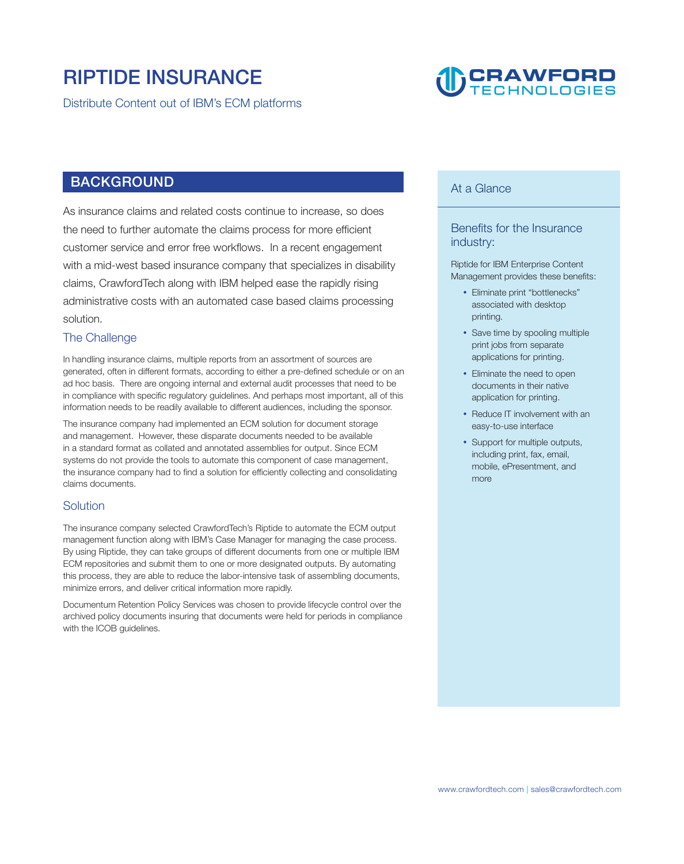### **RIPTIDE INSURANCE**

**Distribute Content out of IBM's ECM platforms**

## **DCRAWFORD**

#### **BACKGROUND**

**As insurance claims and related costs continue to increase, so does the need to further automate the claims process for more efficient customer service and error free workflows. In a recent engagement with a mid-west based insurance company that specializes in disability claims, CrawfordTech along with IBM helped ease the rapidly rising administrative costs with an automated case based claims processing solution.** 

#### **The Challenge**

**In handling insurance claims, multiple reports from an assortment of sources are generated, often in different formats, according to either a pre-defined schedule or on an ad hoc basis. There are ongoing internal and external audit processes that need to be in compliance with specific regulatory guidelines. And perhaps most important, all of this information needs to be readily available to different audiences, including the sponsor.** 

**The insurance company had implemented an ECM solution for document storage and management. However, these disparate documents needed to be available in a standard format as collated and annotated assemblies for output. Since ECM systems do not provide the tools to automate this component of case management, the insurance company had to find a solution for efficiently collecting and consolidating claims documents.** 

#### **Solution**

**The insurance company selected CrawfordTech's Riptide to automate the ECM output management function along with IBM's Case Manager for managing the case process. By using Riptide, they can take groups of different documents from one or multiple IBM ECM repositories and submit them to one or more designated outputs. By automating this process, they are able to reduce the labor-intensive task of assembling documents, minimize errors, and deliver critical information more rapidly.** 

**Documentum Retention Policy Services was chosen to provide lifecycle control over the archived policy documents insuring that documents were held for periods in compliance with the ICOB guidelines.** 

#### **At a Glance**

#### **Benefits for the Insurance industry:**

**Riptide for IBM Enterprise Content Management provides these benefits:** 

- **Eliminate print "bottlenecks" associated with desktop printing.**
- Save time by spooling multiple **print jobs from separate applications for printing.**
- **Eliminate the need to open documents in their native application for printing.**
- Reduce IT involvement with an **easy-to-use interface**
- Support for multiple outputs, **including print, fax, email, mobile, ePresentment, and more**